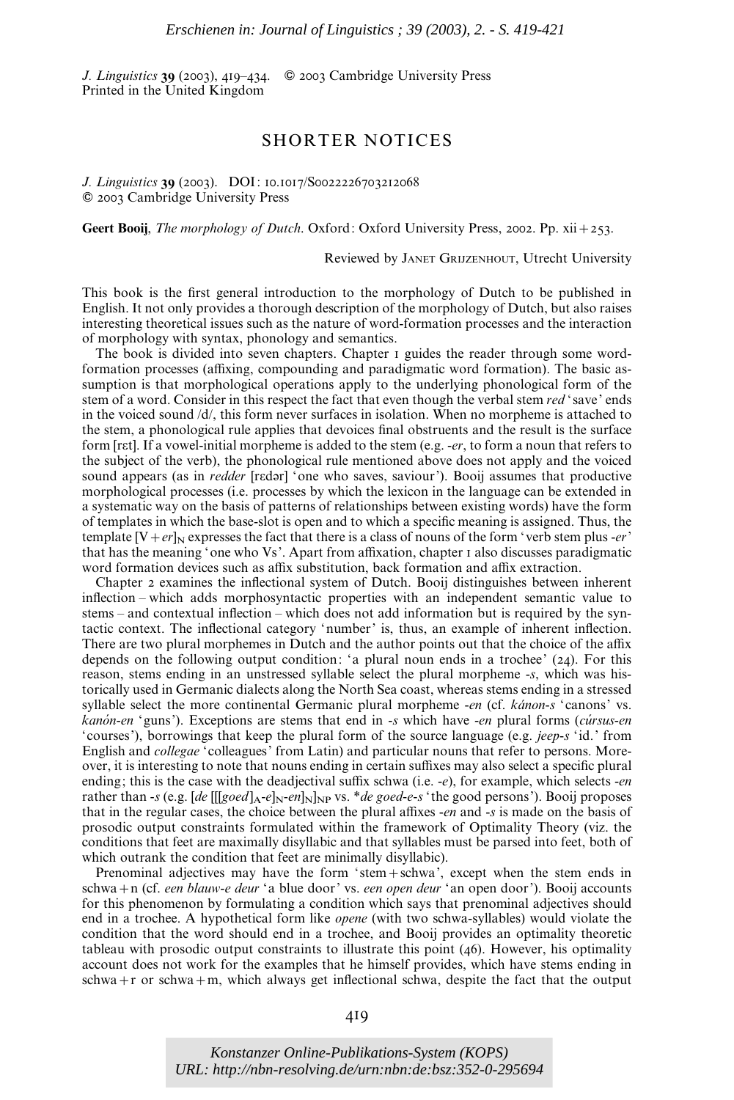J. Linguistics 39 (2003), 419–434.  $\circ$  2003 Cambridge University Press Printed in the United Kingdom

## SHORTER NOTICES

J. Linguistics 39 (2003). DOI: 10.1017/S0022226703212068 C 2003 Cambridge University Press

Geert Booij, *The morphology of Dutch*. Oxford: Oxford University Press, 2002. Pp.  $xii + 253$ .

Reviewed by JANET GRIJZENHOUT, Utrecht University

This book is the first general introduction to the morphology of Dutch to be published in English. It not only provides a thorough description of the morphology of Dutch, but also raises interesting theoretical issues such as the nature of word-formation processes and the interaction of morphology with syntax, phonology and semantics.

The book is divided into seven chapters. Chapter 1 guides the reader through some wordformation processes (affixing, compounding and paradigmatic word formation). The basic assumption is that morphological operations apply to the underlying phonological form of the stem of a word. Consider in this respect the fact that even though the verbal stem red 'save' ends in the voiced sound /d/, this form never surfaces in isolation. When no morpheme is attached to the stem, a phonological rule applies that devoices final obstruents and the result is the surface form [rEt]. If a vowel-initial morpheme is added to the stem (e.g. -er, to form a noun that refers to the subject of the verb), the phonological rule mentioned above does not apply and the voiced sound appears (as in *redder* [reder] 'one who saves, saviour'). Booij assumes that productive morphological processes (i.e. processes by which the lexicon in the language can be extended in a systematic way on the basis of patterns of relationships between existing words) have the form of templates in which the base-slot is open and to which a specific meaning is assigned. Thus, the template  $[V+er]_N$  expresses the fact that there is a class of nouns of the form 'verb stem plus -er' that has the meaning 'one who Vs'. Apart from affixation, chapter 1 also discusses paradigmatic word formation devices such as affix substitution, back formation and affix extraction.

Chapter 2 examines the inflectional system of Dutch. Booij distinguishes between inherent inflection – which adds morphosyntactic properties with an independent semantic value to stems – and contextual inflection – which does not add information but is required by the syntactic context. The inflectional category 'number' is, thus, an example of inherent inflection. There are two plural morphemes in Dutch and the author points out that the choice of the affix depends on the following output condition: 'a plural noun ends in a trochee' (24). For this reason, stems ending in an unstressed syllable select the plural morpheme -s, which was historically used in Germanic dialects along the North Sea coast, whereas stems ending in a stressed syllable select the more continental Germanic plural morpheme  $-en$  (cf.  $kánon-s$  'canons' vs. kanón-en 'guns'). Exceptions are stems that end in -s which have -en plural forms (cúrsus-en 'courses'), borrowings that keep the plural form of the source language (e.g. jeep-s 'id.' from English and collegae 'colleagues' from Latin) and particular nouns that refer to persons. Moreover, it is interesting to note that nouns ending in certain suffixes may also select a specific plural ending; this is the case with the deadjectival suffix schwa (i.e.  $-e$ ), for example, which selects  $-en$ rather than -s (e.g.  $[de[[good]_{A}-el]_{N}-en]_{N}]_{NP}$  vs. \*de goed-e-s 'the good persons'). Booij proposes that in the regular cases, the choice between the plural affixes -en and -s is made on the basis of prosodic output constraints formulated within the framework of Optimality Theory (viz. the conditions that feet are maximally disyllabic and that syllables must be parsed into feet, both of which outrank the condition that feet are minimally disyllabic). *Erschienen in: Journal of Linguistics ; 39 (2003), 2. - S. 419-421*<br> **URL: S.** 100:10.101 + 4144. <sup>**E** 2003 Cambridge University Press<br>
United Kingdom<br>
SHORTEER NOTICEES<br>
(*Membersity Press*<br>
United Kingdom<br>
SHORTER NOT</sup>

Prenominal adjectives may have the form 'stem+schwa', except when the stem ends in schwa + n (cf. een blauw-e deur 'a blue door' vs. een open deur 'an open door'). Booij accounts for this phenomenon by formulating a condition which says that prenominal adjectives should end in a trochee. A hypothetical form like opene (with two schwa-syllables) would violate the condition that the word should end in a trochee, and Booij provides an optimality theoretic tableau with prosodic output constraints to illustrate this point (46). However, his optimality account does not work for the examples that he himself provides, which have stems ending in schwa + r or schwa + m, which always get inflectional schwa, despite the fact that the output

*Konstanzer Online-Publikations-System (KOPS)*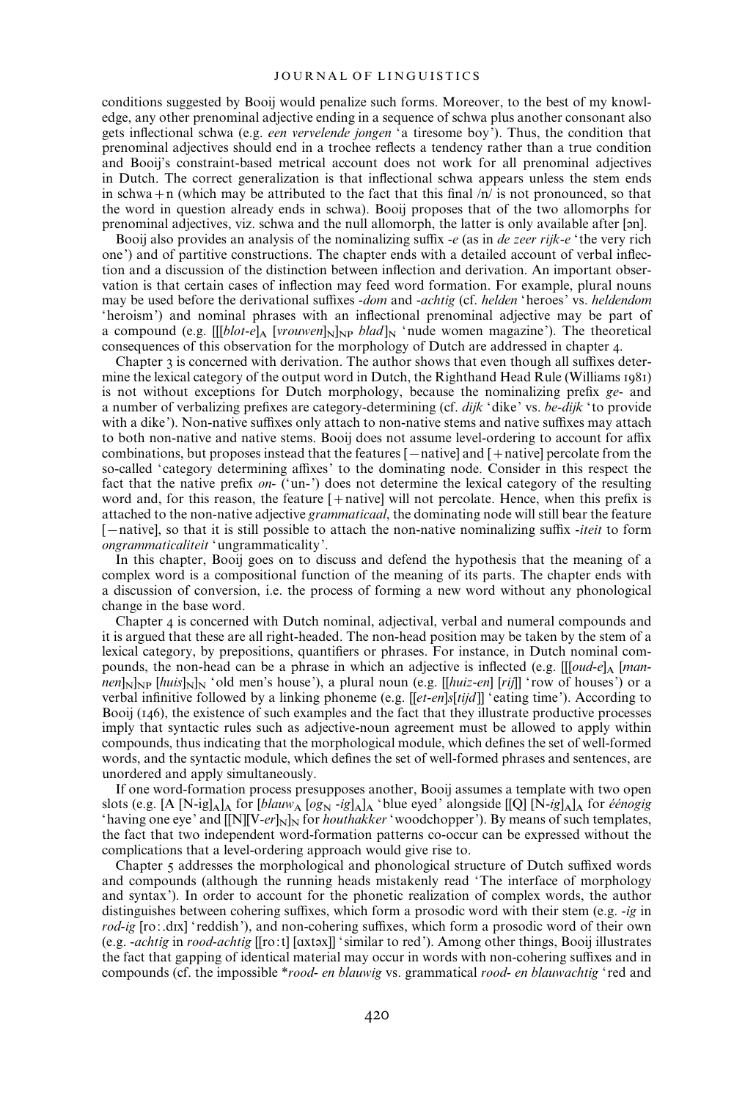## JOURNAL OF LINGUISTICS

conditions suggested by Booij would penalize such forms. Moreover, to the best of my knowledge, any other prenominal adjective ending in a sequence of schwa plus another consonant also gets inflectional schwa (e.g. *een vervelende jongen*  $\epsilon$  a tiresome boy'). Thus, the condition that prenominal adjectives should end in a trochee reflects a tendency rather than a true condition and Booij's constraint-based metrical account does not work for all prenominal adjectives in Dutch. The correct generalization is that inflectional schwa appears unless the stem ends in schwa +n (which may be attributed to the fact that this final  $/n/$  is not pronounced, so that the word in question already ends in schwa). Booij proposes that of the two allomorphs for prenominal adjectives, viz. schwa and the null allomorph, the latter is only available after [en].

Booij also provides an analysis of the nominalizing suffix  $-e$  (as in *de zeer rijk-e* 'the very rich one') and of partitive constructions. The chapter ends with a detailed account of verbal inflection and a discussion of the distinction between inflection and derivation. An important observation is that certain cases of inflection may feed word formation. For example, plural nouns may be used before the derivational suffixes -dom and -achtig (cf. helden 'heroes' vs. heldendom 'heroism') and nominal phrases with an inflectional prenominal adjective may be part of a compound (e.g.  $[[[blot-e]_A] [vrouwen]_N]_{NP} blad]_N$  'nude women magazine'). The theoretical consequences of this observation for the morphology of Dutch are addressed in chapter 4.

Chapter 3 is concerned with derivation. The author shows that even though all suffixes determine the lexical category of the output word in Dutch, the Righthand Head Rule (Williams 1981) is not without exceptions for Dutch morphology, because the nominalizing prefix ge- and a number of verbalizing prefixes are category-determining (cf. dijk 'dike' vs. be-dijk ' to provide with a dike'). Non-native suffixes only attach to non-native stems and native suffixes may attach to both non-native and native stems. Booij does not assume level-ordering to account for affix combinations, but proposes instead that the features  $[-n]$  and  $[+n]$  percolate from the so-called 'category determining affixes' to the dominating node. Consider in this respect the fact that the native prefix on- ('un-') does not determine the lexical category of the resulting word and, for this reason, the feature [+native] will not percolate. Hence, when this prefix is attached to the non-native adjective *grammaticaal*, the dominating node will still bear the feature  $[-n]$  native], so that it is still possible to attach the non-native nominalizing suffix -*iteit* to form ongrammaticaliteit 'ungrammaticality'.

In this chapter, Booij goes on to discuss and defend the hypothesis that the meaning of a complex word is a compositional function of the meaning of its parts. The chapter ends with a discussion of conversion, i.e. the process of forming a new word without any phonological change in the base word.

Chapter 4 is concerned with Dutch nominal, adjectival, verbal and numeral compounds and it is argued that these are all right-headed. The non-head position may be taken by the stem of a lexical category, by prepositions, quantifiers or phrases. For instance, in Dutch nominal compounds, the non-head can be a phrase in which an adjective is inflected (e.g.  $\left[\frac{d}{d} \right]$  [mannen|N|NP [huis]N|N 'old men's house'), a plural noun (e.g. [[huiz-en] [rij]] 'row of houses') or a verbal infinitive followed by a linking phoneme (e.g.  $[[et-en]s[tijd]]$  'eating time'). According to Booij (146), the existence of such examples and the fact that they illustrate productive processes imply that syntactic rules such as adjective-noun agreement must be allowed to apply within compounds, thus indicating that the morphological module, which defines the set of well-formed words, and the syntactic module, which defines the set of well-formed phrases and sentences, are unordered and apply simultaneously.

If one word-formation process presupposes another, Booij assumes a template with two open slots (e.g. [A [N-ig]<sub>A</sub>]<sub>A</sub> for [blauw<sub>A</sub> [og<sub>N</sub> -ig]<sub>A</sub>]<sub>A</sub> 'blue eyed' alongside [[Q] [N-ig]<sub>A</sub>]<sub>A</sub> for *éénogig* 'having one eye' and  $[[N][V-er]_N]_N$  for *houthakker* 'woodchopper'). By means of such templates, the fact that two independent word-formation patterns co-occur can be expressed without the complications that a level-ordering approach would give rise to.

Chapter 5 addresses the morphological and phonological structure of Dutch suffixed words and compounds (although the running heads mistakenly read 'The interface of morphology and syntax'). In order to account for the phonetic realization of complex words, the author distinguishes between cohering suffixes, which form a prosodic word with their stem (e.g. -ig in rod-ig [ro:.dɪx] 'reddish'), and non-cohering suffixes, which form a prosodic word of their own (e.g. -achtig in rood-achtig [[ro: t] [axtex]] ' similar to red'). Among other things, Booij illustrates the fact that gapping of identical material may occur in words with non-cohering suffixes and in compounds (cf. the impossible \*rood- en blauwig vs. grammatical rood- en blauwachtig 'red and